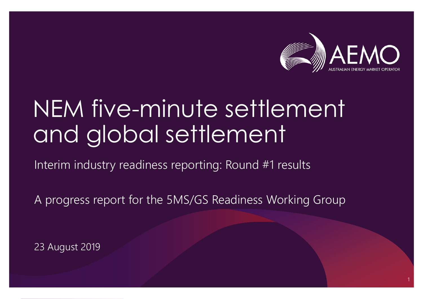

## NEM five-minute settlement and global settlement

### Interim industry readiness reporting: Round #1 results

A progress report for the 5MS/GS Readiness Working Group

23 August 2019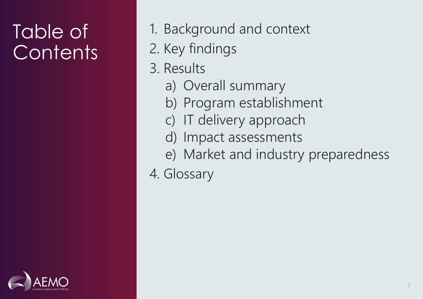## Table of **Contents**

- 1. Background and context
- 2. Key findings
- 3. Results
	- a) Overall summary
	- b) Program establishment
	- c) IT delivery approach
	- d) Impact assessments
	- e) Market and industry preparedness
- 4. Glossary

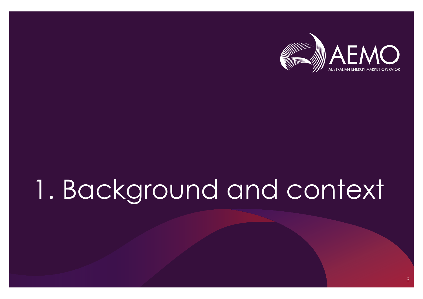

## 1. Background and context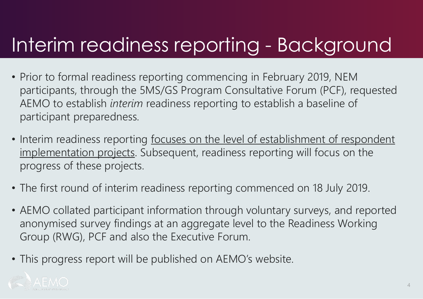## Interim readiness reporting - Background

- Prior to formal readiness reporting commencing in February 2019, NEM participants, through the 5MS/GS Program Consultative Forum (PCF), requested AEMO to establish *interim* readiness reporting to establish a baseline of participant preparedness.
- Interim readiness reporting focuses on the level of establishment of respondent implementation projects. Subsequent, readiness reporting will focus on the progress of these projects.
- The first round of interim readiness reporting commenced on 18 July 2019.
- AEMO collated participant information through voluntary surveys, and reported anonymised survey findings at an aggregate level to the Readiness Working Group (RWG), PCF and also the Executive Forum.
- This progress report will be published on AEMO's website.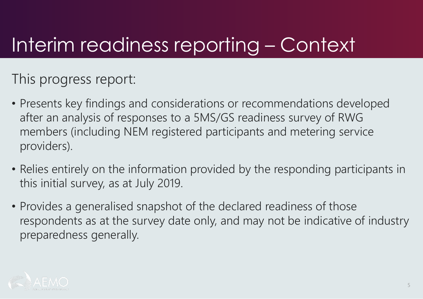## Interim readiness reporting – Context

This progress report:

- Presents key findings and considerations or recommendations developed after an analysis of responses to a 5MS/GS readiness survey of RWG members (including NEM registered participants and metering service providers).
- Relies entirely on the information provided by the responding participants in this initial survey, as at July 2019.
- Provides a generalised snapshot of the declared readiness of those respondents as at the survey date only, and may not be indicative of industry preparedness generally.

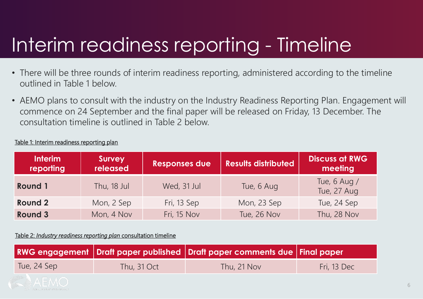## Interim readiness reporting - Timeline

- There will be three rounds of interim readiness reporting, administered according to the timeline outlined in Table 1 below.
- AEMO plans to consult with the industry on the Industry Readiness Reporting Plan. Engagement will commence on 24 September and the final paper will be released on Friday, 13 December. The consultation timeline is outlined in Table 2 below.

| Table 1: Interim readiness reporting plan |  |  |
|-------------------------------------------|--|--|
|                                           |  |  |

| <b>Interim</b><br>reporting | Survey<br>released | <b>Responses due</b> | <b>Results distributed</b> | <b>Discuss at RWG</b><br>meeting |
|-----------------------------|--------------------|----------------------|----------------------------|----------------------------------|
| <b>Round 1</b>              | Thu, 18 Jul        | Wed, 31 Jul          | Tue, 6 Aug                 | Tue, 6 Aug /<br>Tue, 27 Aug      |
| <b>Round 2</b>              | Mon, 2 Sep         | Fri, 13 Sep          | Mon, 23 Sep                | Tue, 24 Sep                      |
| <b>Round 3</b>              | Mon, 4 Nov         | Fri, 15 Nov          | Tue, 26 Nov                | Thu, 28 Nov                      |

Table 2: *Industry readiness reporting plan* consultation timeline

|             |             | RWG engagement Draft paper published Draft paper comments due Final paper |             |
|-------------|-------------|---------------------------------------------------------------------------|-------------|
| Tue, 24 Sep | Thu, 31 Oct | Thu, 21 Nov                                                               | Fri, 13 Dec |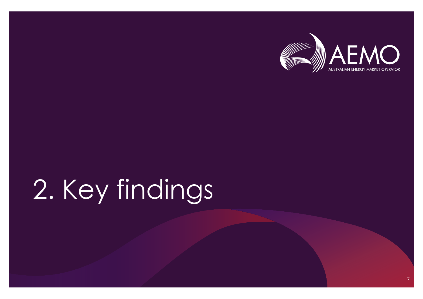

# 2. Key findings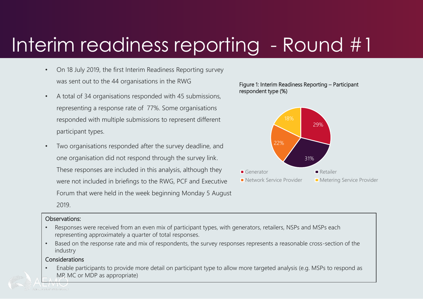## Interim readiness reporting - Round #1

- On 18 July 2019, the first Interim Readiness Reporting survey was sent out to the 44 organisations in the RWG
- A total of 34 organisations responded with 45 submissions, representing a response rate of 77%. Some organisations responded with multiple submissions to represent different participant types.
- Two organisations responded after the survey deadline, and one organisation did not respond through the survey link. These responses are included in this analysis, although they were not included in briefings to the RWG, PCF and Executive Forum that were held in the week beginning Monday 5 August 2019.

#### Figure 1: Interim Readiness Reporting – Participant respondent type (%)



#### Observations:

- Responses were received from an even mix of participant types, with generators, retailers, NSPs and MSPs each representing approximately a quarter of total responses.
- Based on the response rate and mix of respondents, the survey responses represents a reasonable cross-section of the industry

#### **Considerations**

• Enable participants to provide more detail on participant type to allow more targeted analysis (e.g. MSPs to respond as MP, MC or MDP as appropriate)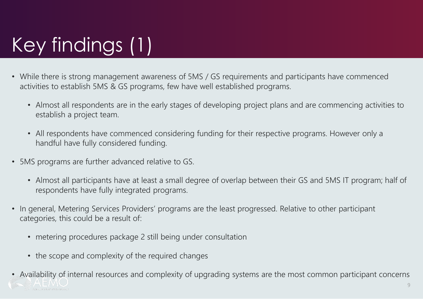## Key findings (1)

- While there is strong management awareness of 5MS / GS requirements and participants have commenced activities to establish 5MS & GS programs, few have well established programs.
	- Almost all respondents are in the early stages of developing project plans and are commencing activities to establish a project team.
	- All respondents have commenced considering funding for their respective programs. However only a handful have fully considered funding.
- 5MS programs are further advanced relative to GS.
	- Almost all participants have at least a small degree of overlap between their GS and 5MS IT program; half of respondents have fully integrated programs.
- In general, Metering Services Providers' programs are the least progressed. Relative to other participant categories, this could be a result of:
	- metering procedures package 2 still being under consultation
	- the scope and complexity of the required changes
- Availability of internal resources and complexity of upgrading systems are the most common participant concerns 9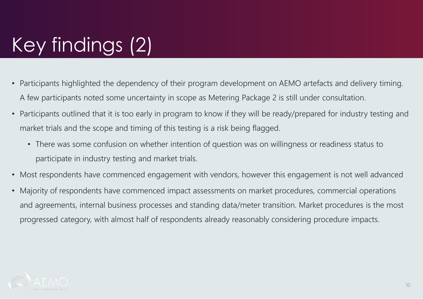## Key findings (2)

- Participants highlighted the dependency of their program development on AEMO artefacts and delivery timing. A few participants noted some uncertainty in scope as Metering Package 2 is still under consultation.
- Participants outlined that it is too early in program to know if they will be ready/prepared for industry testing and market trials and the scope and timing of this testing is a risk being flagged.
	- There was some confusion on whether intention of question was on willingness or readiness status to participate in industry testing and market trials.
- Most respondents have commenced engagement with vendors, however this engagement is not well advanced
- Majority of respondents have commenced impact assessments on market procedures, commercial operations and agreements, internal business processes and standing data/meter transition. Market procedures is the most progressed category, with almost half of respondents already reasonably considering procedure impacts.

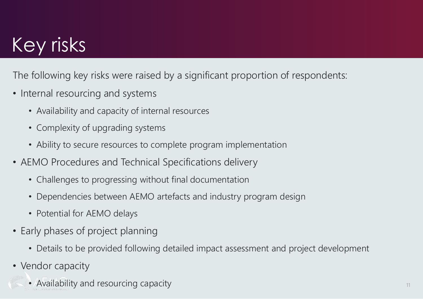## Key risks

The following key risks were raised by a significant proportion of respondents:

- Internal resourcing and systems
	- Availability and capacity of internal resources
	- Complexity of upgrading systems
	- Ability to secure resources to complete program implementation
- AEMO Procedures and Technical Specifications delivery
	- Challenges to progressing without final documentation
	- Dependencies between AEMO artefacts and industry program design
	- Potential for AEMO delays
- Early phases of project planning
	- Details to be provided following detailed impact assessment and project development
- Vendor capacity
	- Availability and resourcing capacity 111 and 12 and 12 and 12 and 12 and 12 and 12 and 12 and 12 and 11 and 11 and 11 and 11 and 11 and 11 and 11 and 11 and 11 and 11 and 11 and 11 and 11 and 11 and 11 and 11 and 11 and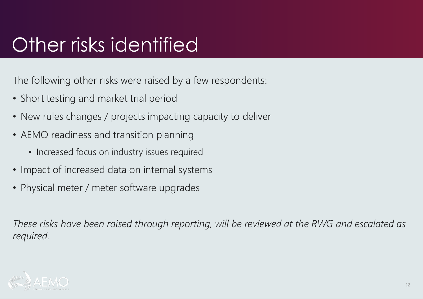## Other risks identified

The following other risks were raised by a few respondents:

- Short testing and market trial period
- New rules changes / projects impacting capacity to deliver
- AEMO readiness and transition planning
	- Increased focus on industry issues required
- Impact of increased data on internal systems
- Physical meter / meter software upgrades

*These risks have been raised through reporting, will be reviewed at the RWG and escalated as required.* 

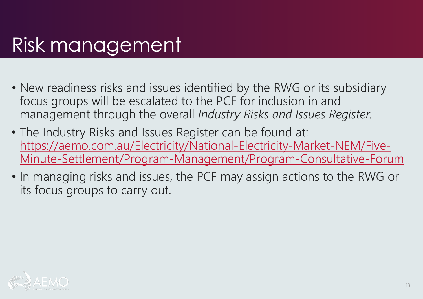## Risk management

- New readiness risks and issues identified by the RWG or its subsidiary focus groups will be escalated to the PCF for inclusion in and management through the overall *Industry Risks and Issues Register.*
- The Industry Risks and Issues Register can be found at: https://aemo.com.au/Electricity/National-Electricity-Market-NEM/Five-[Minute-Settlement/Program-Management/Program-Consultative-Forum](https://aemo.com.au/Electricity/National-Electricity-Market-NEM/Five-Minute-Settlement/Program-Management/Program-Consultative-Forum)
- In managing risks and issues, the PCF may assign actions to the RWG or its focus groups to carry out.

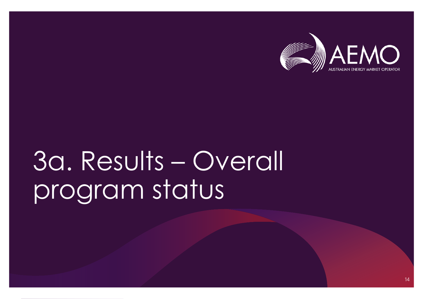

# 3a. Results – Overall program status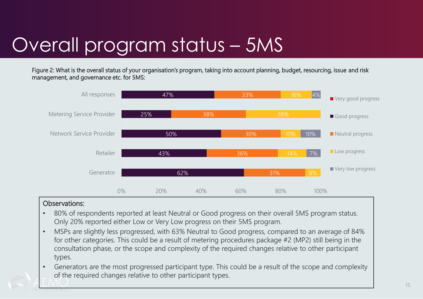## Overall program status – 5MS

Figure 2: What is the overall status of your organisation's program, taking into account planning, budget, resourcing, issue and risk management, and governance etc. for 5MS:



- 80% of respondents reported at least Neutral or Good progress on their overall 5MS program status. Only 20% reported either Low or Very Low progress on their 5MS program.
- MSPs are slightly less progressed, with 63% Neutral to Good progress, compared to an average of 84% for other categories. This could be a result of metering procedures package #2 (MP2) still being in the consultation phase, or the scope and complexity of the required changes relative to other participant types.
- Generators are the most progressed participant type. This could be a result of the scope and complexity of the required changes relative to other participant types.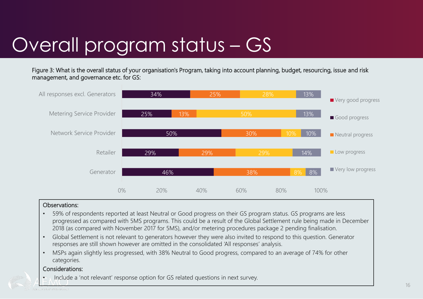## Overall program status – GS

Figure 3: What is the overall status of your organisation's Program, taking into account planning, budget, resourcing, issue and risk management, and governance etc. for GS:



#### Observations:

- 59% of respondents reported at least Neutral or Good progress on their GS program status. GS programs are less progressed as compared with 5MS programs. This could be a result of the Global Settlement rule being made in December 2018 (as compared with November 2017 for 5MS), and/or metering procedures package 2 pending finalisation.
- Global Settlement is not relevant to generators however they were also invited to respond to this question. Generator responses are still shown however are omitted in the consolidated 'All responses' analysis.
- MSPs again slightly less progressed, with 38% Neutral to Good progress, compared to an average of 74% for other categories.

#### Considerations:

• Include a 'not relevant' response option for GS related questions in next survey.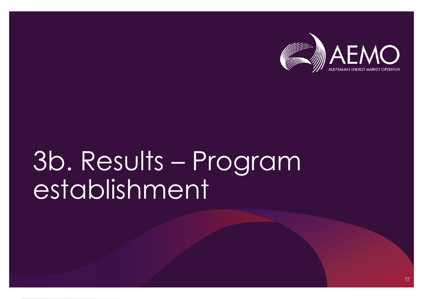

# 3b. Results – Program establishment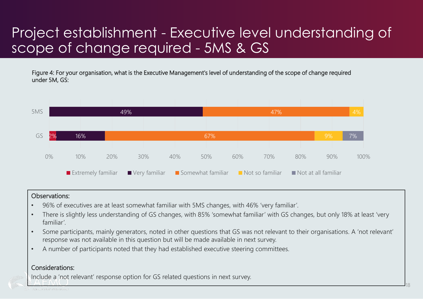## Project establishment - Executive level understanding of scope of change required - 5MS & GS

Figure 4: For your organisation, what is the Executive Management's level of understanding of the scope of change required under 5M, GS:



#### Observations:

- 96% of executives are at least somewhat familiar with 5MS changes, with 46% 'very familiar'.
- There is slightly less understanding of GS changes, with 85% 'somewhat familiar' with GS changes, but only 18% at least 'very familiar'.
- Some participants, mainly generators, noted in other questions that GS was not relevant to their organisations. A 'not relevant' response was not available in this question but will be made available in next survey.
- A number of participants noted that they had established executive steering committees.

### Considerations:

Include a 'not relevant' response option for GS related questions in next survey.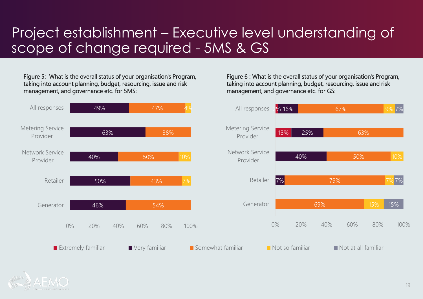## Project establishment – Executive level understanding of scope of change required - 5MS & GS

Figure 5: What is the overall status of your organisation's Program, taking into account planning, budget, resourcing, issue and risk management, and governance etc. for 5MS:



Figure 6 : What is the overall status of your organisation's Program, taking into account planning, budget, resourcing, issue and risk management, and governance etc. for GS:

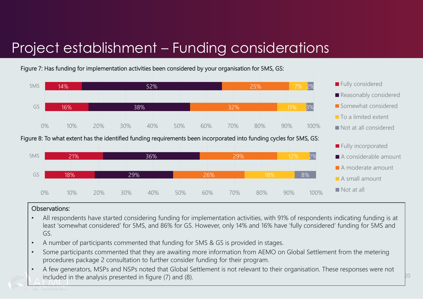## Project establishment – Funding considerations



Figure 7: Has funding for implementation activities been considered by your organisation for 5MS, GS:

#### Figure 8: To what extent has the identified funding requirements been incorporated into funding cycles for 5MS, GS:



- All respondents have started considering funding for implementation activities, with 91% of respondents indicating funding is at least 'somewhat considered' for 5MS, and 86% for GS. However, only 14% and 16% have 'fully considered' funding for 5MS and GS.
- A number of participants commented that funding for 5MS & GS is provided in stages.
- Some participants commented that they are awaiting more information from AEMO on Global Settlement from the metering procedures package 2 consultation to further consider funding for their program.
- A few generators, MSPs and NSPs noted that Global Settlement is not relevant to their organisation. These responses were not included in the analysis presented in figure (7) and (8).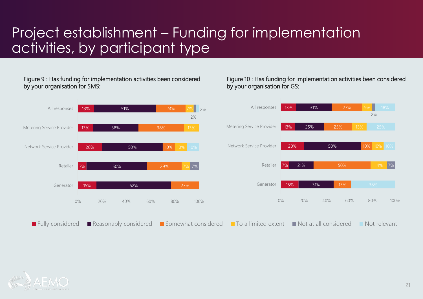## Project establishment – Funding for implementation activities, by participant type

#### Figure 9 : Has funding for implementation activities been considered by your organisation for 5MS:

#### Figure 10 : Has funding for implementation activities been considered by your organisation for GS:



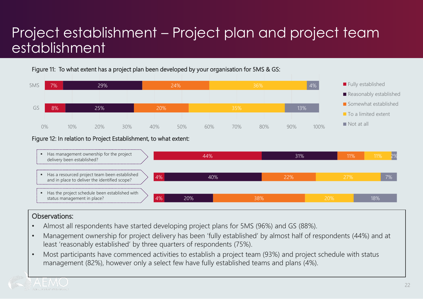## Project establishment – Project plan and project team establishment

Figure 11: To what extent has a project plan been developed by your organisation for 5MS & GS:



#### Figure 12: In relation to Project Establishment, to what extent:



- Almost all respondents have started developing project plans for 5MS (96%) and GS (88%).
- Management ownership for project delivery has been 'fully established' by almost half of respondents (44%) and at least 'reasonably established' by three quarters of respondents (75%).
- Most participants have commenced activities to establish a project team (93%) and project schedule with status management (82%), however only a select few have fully established teams and plans (4%).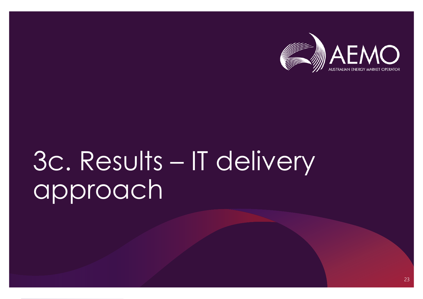

# 3c. Results – IT delivery approach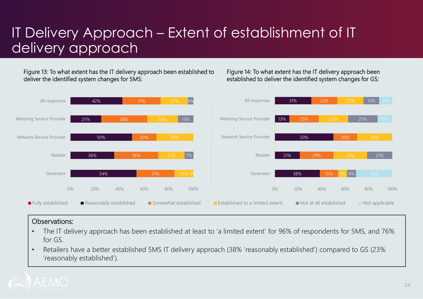## IT Delivery Approach – Extent of establishment of IT delivery approach

Figure 13: To what extent has the IT delivery approach been established to deliver the identified system changes for 5MS:

#### Figure 14: To what extent has the IT delivery approach been established to deliver the identified system changes for GS:



- The IT delivery approach has been established at least to 'a limited extent' for 96% of respondents for 5MS, and 76% for GS.
- Retailers have a better established 5MS IT delivery approach (38% 'reasonably established') compared to GS (23% 'reasonably established').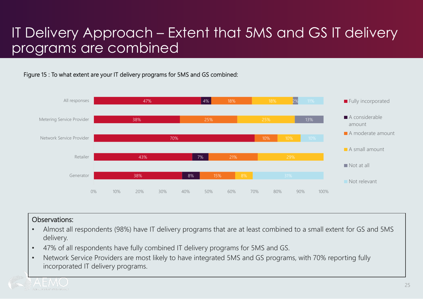### IT Delivery Approach – Extent that 5MS and GS IT delivery programs are combined

### Figure 15 : To what extent are your IT delivery programs for 5MS and GS combined:



- Almost all respondents (98%) have IT delivery programs that are at least combined to a small extent for GS and 5MS delivery.
- 47% of all respondents have fully combined IT delivery programs for 5MS and GS.
- Network Service Providers are most likely to have integrated 5MS and GS programs, with 70% reporting fully incorporated IT delivery programs.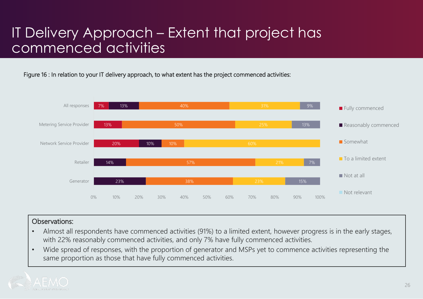### IT Delivery Approach – Extent that project has commenced activities

Figure 16 : In relation to your IT delivery approach, to what extent has the project commenced activities:



- Almost all respondents have commenced activities (91%) to a limited extent, however progress is in the early stages, with 22% reasonably commenced activities, and only 7% have fully commenced activities.
- Wide spread of responses, with the proportion of generator and MSPs yet to commence activities representing the same proportion as those that have fully commenced activities.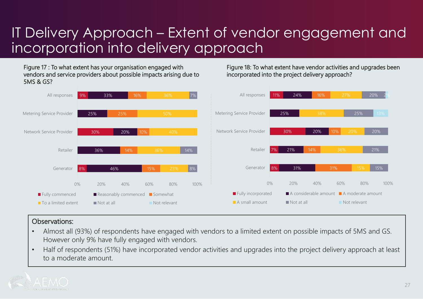### IT Delivery Approach – Extent of vendor engagement and incorporation into delivery approach

Figure 18: To what extent have vendor activities and upgrades been

incorporated into the project delivery approach?

Figure 17 : To what extent has your organisation engaged with vendors and service providers about possible impacts arising due to 5MS & GS?



- Almost all (93%) of respondents have engaged with vendors to a limited extent on possible impacts of 5MS and GS. However only 9% have fully engaged with vendors.
- Half of respondents (51%) have incorporated vendor activities and upgrades into the project delivery approach at least to a moderate amount.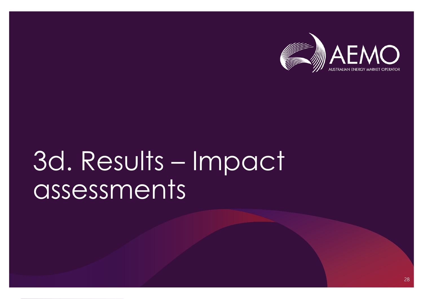

# 3d. Results – Impact assessments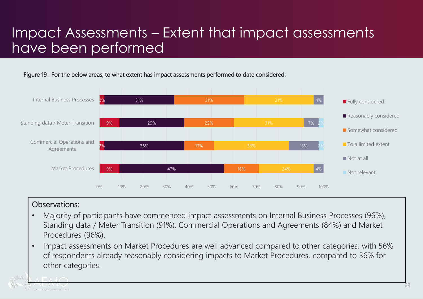## Impact Assessments – Extent that impact assessments have been performed

Figure 19 : For the below areas, to what extent has impact assessments performed to date considered:



- Majority of participants have commenced impact assessments on Internal Business Processes (96%), Standing data / Meter Transition (91%), Commercial Operations and Agreements (84%) and Market Procedures (96%).
- Impact assessments on Market Procedures are well advanced compared to other categories, with 56% of respondents already reasonably considering impacts to Market Procedures, compared to 36% for other categories.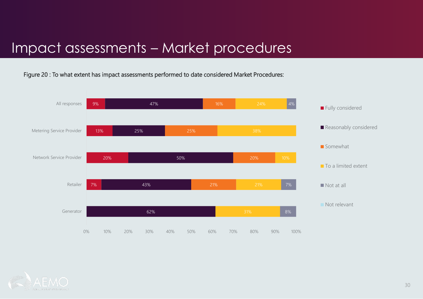### Impact assessments – Market procedures

Figure 20 : To what extent has impact assessments performed to date considered Market Procedures:



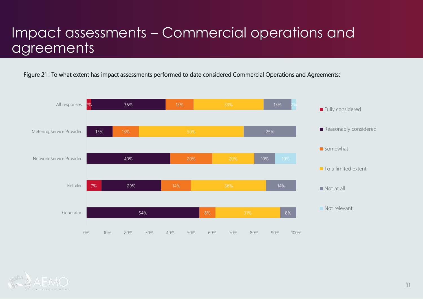### Impact assessments – Commercial operations and agreements

Figure 21 : To what extent has impact assessments performed to date considered Commercial Operations and Agreements:



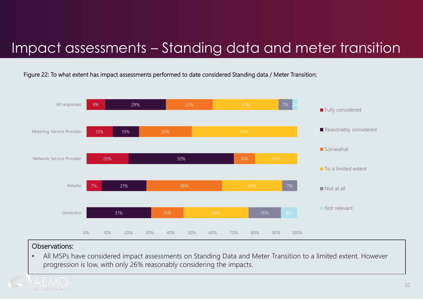### Impact assessments – Standing data and meter transition

Figure 22: To what extent has impact assessments performed to date considered Standing data / Meter Transition:



### Observations:

• All MSPs have considered impact assessments on Standing Data and Meter Transition to a limited extent. However progression is low, with only 26% reasonably considering the impacts.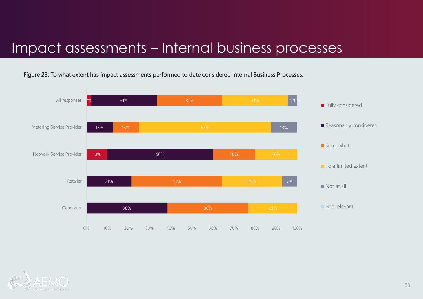### Impact assessments – Internal business processes

Figure 23: To what extent has impact assessments performed to date considered Internal Business Processes:



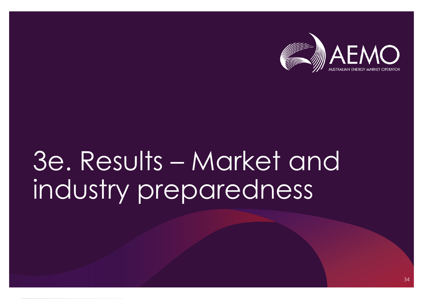

# 3e. Results – Market and industry preparedness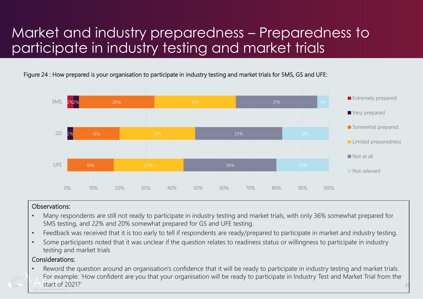## Market and industry preparedness – Preparedness to participate in industry testing and market trials

Figure 24 : How prepared is your organisation to participate in industry testing and market trials for 5MS, GS and UFE:



### Observations:

- Many respondents are still not ready to participate in industry testing and market trials, with only 36% somewhat prepared for 5MS testing, and 22% and 20% somewhat prepared for GS and UFE testing.
- Feedback was received that it is too early to tell if respondents are ready/prepared to participate in market and industry testing.
- Some participants noted that it was unclear if the question relates to readiness status or willingness to participate in industry testing and market trials

### Considerations:

• Reword the question around an organisation's confidence that it will be ready to participate in industry testing and market trials. For example: 'How confident are you that your organisation will be ready to participate in Industry Test and Market Trial from the start of 2021?'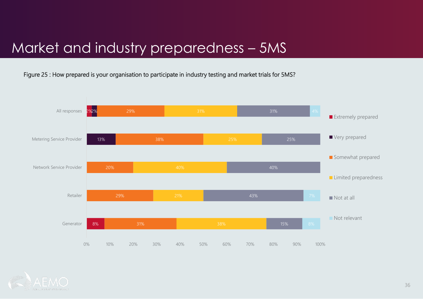## Market and industry preparedness – 5MS

Figure 25 : How prepared is your organisation to participate in industry testing and market trials for 5MS?



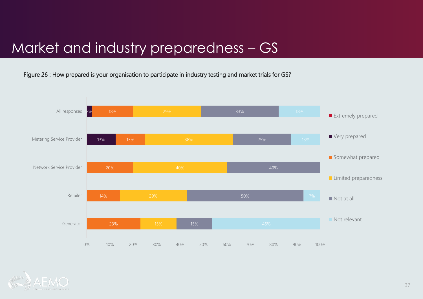## Market and industry preparedness – GS

Figure 26 : How prepared is your organisation to participate in industry testing and market trials for GS?



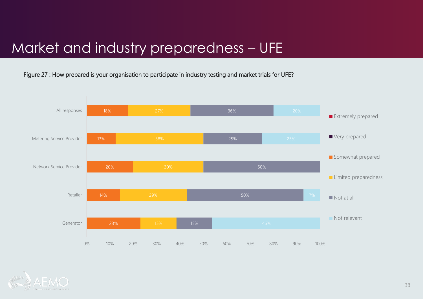### Market and industry preparedness – UFE

Figure 27 : How prepared is your organisation to participate in industry testing and market trials for UFE?



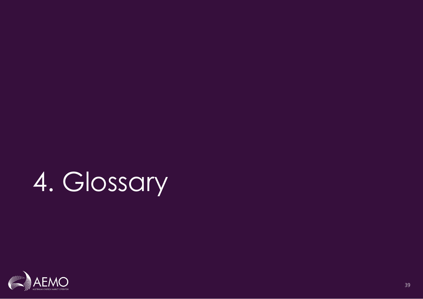# 4. Glossary

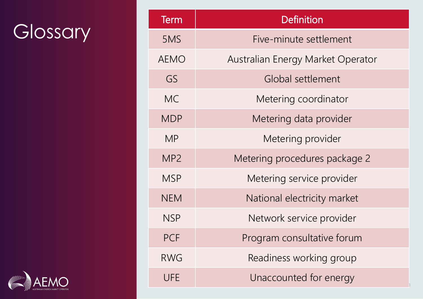## Glossary

| <b>Term</b>     | <b>Definition</b>                 |  |
|-----------------|-----------------------------------|--|
| 5MS             | Five-minute settlement            |  |
| <b>AEMO</b>     | Australian Energy Market Operator |  |
| GS              | Global settlement                 |  |
| MC.             | Metering coordinator              |  |
| <b>MDP</b>      | Metering data provider            |  |
| <b>MP</b>       | Metering provider                 |  |
| MP <sub>2</sub> | Metering procedures package 2     |  |
| <b>MSP</b>      | Metering service provider         |  |
| <b>NEM</b>      | National electricity market       |  |
| <b>NSP</b>      | Network service provider          |  |
| PCF             | Program consultative forum        |  |
| RWG             | Readiness working group           |  |
| <b>UFE</b>      | Unaccounted for energy            |  |